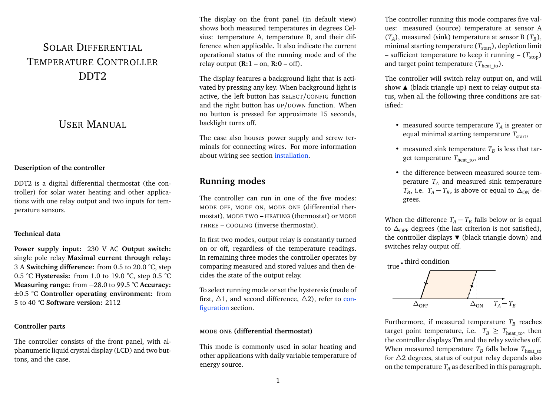# SOLAR DIFFERENTIAL TEMPERATURE CONTROLLER DDT2

## USER MANUAL

### **Description of the controller**

DDT2 is a digital differential thermostat (the controller) for solar water heating and other applications with one relay output and two inputs for temperature sensors.

### **Technical data**

**Power supply input:** 230 V AC **Output switch:** single pole relay **Maximal current through relay:** 3 A **Switching difference:** from 0.5 to 20.0 °C, step 0.5 °C **Hysteresis:** from 1.0 to 19.0 °C, step 0.5 °C **Measuring range:** from −28.0 to 99.5 °C **Accuracy:** ±0.5 °C **Controller operating environment:** from 5 to 40 °C **Software version:** 2112

### **Controller parts**

The controller consists of the front panel, with alphanumeric liquid crystal display (LCD) and two buttons, and the case.

The display on the front panel (in default view) shows both measured temperatures in degrees Celsius: temperature A, temperature B, and their difference when applicable. It also indicate the current operational status of the running mode and of the relay output  $(R:1 - on, R:0 - off)$ .

The display features a background light that is activated by pressing any key. When background light is active, the left button has SELECT/CONFIG function and the right button has UP/DOWN function. When no button is pressed for approximate 15 seconds, backlight turns off.

The case also houses power supply and screw terminals for connecting wires. For more information about wiring see section [installation.](#page-3-0)

## **Running modes**

The controller can run in one of the five modes: MODE OFF, MODE ON, MODE ONE (differential thermostat), MODE TWO – HEATING (thermostat) or MODE THREE – COOLING (inverse thermostat).

In first two modes, output relay is constantly turned on or off, regardless of the temperature readings. In remaining three modes the controller operates by comparing measured and stored values and then decides the state of the output relay.

To select running mode or set the hysteresis (made of first,  $\Delta$ 1, and second difference,  $\Delta$ 2), refer to [con](#page-2-0)[figuration](#page-2-0) section.

### **MODE ONE (differential thermostat)**

This mode is commonly used in solar heating and other applications with daily variable temperature of energy source.

The controller running this mode compares five values: measured (source) temperature at sensor A  $(T_A)$ , measured (sink) temperature at sensor B  $(T_B)$ , minimal starting temperature  $(T_{\text{start}})$ , depletion limit – sufficient temperature to keep it running –  $(T_{\text{stop}})$ and target point temperature  $(T_{\text{heat to}})$ .

The controller will switch relay output on, and will show  $\triangle$  (black triangle up) next to relay output status, when all the following three conditions are satisfied:

- measured source temperature *T<sup>A</sup>* is greater or equal minimal starting temperature  $T_{\text{start}}$ ,
- measured sink temperature  $T_B$  is less that target temperature  $T_{\text{heat-to}}$ , and
- the difference between measured source temperature  $T_A$  and measured sink temperature *T<sub>B</sub>*, i.e. *T<sub>A</sub>* − *T<sub>B</sub>*, is above or equal to  $\Delta_{ON}$  degrees.

When the difference  $T_A - T_B$  falls below or is equal to ∆<sub>OFF</sub> degrees (the last criterion is not satisfied), the controller displays  $\blacktriangledown$  (black triangle down) and switches relay output off.



Furthermore, if measured temperature  $T_B$  reaches target point temperature, i.e.  $T_B \geq T_{\text{heat to}}$ , then the controller displays **Tm** and the relay switches off. When measured temperature  $T_B$  falls below  $T_{\rm heat\_to}$ for  $\triangle$ 2 degrees, status of output relay depends also on the temperature  $T_A$  as described in this paragraph.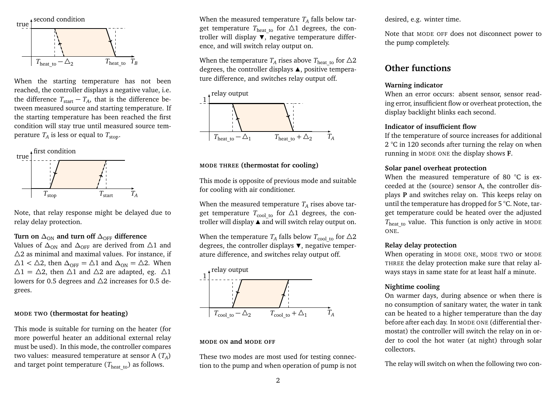

When the starting temperature has not been reached, the controller displays a negative value, i.e. the difference  $T_{\text{start}} - T_A$ , that is the difference between measured source and starting temperature. If the starting temperature has been reached the first condition will stay true until measured source temperature  $T_A$  is less or equal to  $T_{\rm stop}.$ 



Note, that relay response might be delayed due to relay delay protection.

Turn on  $\Delta_{ON}$  and turn off  $\Delta_{OFF}$  difference

Values of  $\Delta_{\text{ON}}$  and  $\Delta_{\text{OFF}}$  are derived from  $\Delta$ 1 and  $\Delta$ 2 as minimal and maximal values. For instance, if  $\Delta$ 1 <  $\Delta$ 2, then  $\Delta$ <sub>OFF</sub> =  $\Delta$ 1 and  $\Delta$ <sub>ON</sub> =  $\Delta$ 2. When  $\Delta 1 = \Delta 2$ , then  $\Delta 1$  and  $\Delta 2$  are adapted, eg.  $\Delta 1$ lowers for 0.5 degrees and  $\Delta$ 2 increases for 0.5 degrees.

#### **MODE TWO (thermostat for heating)**

This mode is suitable for turning on the heater (for more powerful heater an additional external relay must be used). In this mode, the controller compares two values: measured temperature at sensor A (*T<sup>A</sup>* ) and target point temperature  $(T_{\text{heat to}})$  as follows.

When the measured temperature  $T_A$  falls below target temperature  $T_{\text{heat to}}$  for  $\Delta 1$  degrees, the controller will display  $\overline{\mathbf{v}}$ , negative temperature difference, and will switch relay output on.

When the temperature  $T_A$  rises above  $T_{\rm heat\_to}$  for  $\Delta2$ degrees, the controller displays  $\blacktriangle$ , positive temperature difference, and switches relay output off.



#### **MODE THREE (thermostat for cooling)**

This mode is opposite of previous mode and suitable for cooling with air conditioner.

When the measured temperature  $T_A$  rises above target temperature  $T_{\text{cool to}}$  for  $\Delta 1$  degrees, the controller will display  $\blacktriangle$  and will switch relay output on.

When the temperature  $T_A$  falls below  $T_{\rm cool\_to}$  for  $\triangle 2$ degrees, the controller displays  $\nabla$ , negative temperature difference, and switches relay output off.



#### **MODE ON and MODE OFF**

These two modes are most used for testing connection to the pump and when operation of pump is not desired, e.g. winter time.

Note that MODE OFF does not disconnect power to the pump completely.

## **Other functions**

#### **Warning indicator**

When an error occurs: absent sensor, sensor reading error, insufficient flow or overheat protection, the display backlight blinks each second.

#### **Indicator of insufficient flow**

If the temperature of source increases for additional 2 °C in 120 seconds after turning the relay on when running in MODE ONE the display shows **F**.

#### **Solar panel overheat protection**

When the measured temperature of 80 °C is exceeded at the (source) sensor A, the controller displays **P** and switches relay on. This keeps relay on until the temperature has dropped for 5 °C. Note, target temperature could be heated over the adjusted  $T_{\text{heat to}}$  value. This function is only active in MODE ONE.

#### **Relay delay protection**

When operating in MODE ONE, MODE TWO or MODE THREE the delay protection make sure that relay always stays in same state for at least half a minute.

#### **Nightime cooling**

On warmer days, during absence or when there is no consumption of sanitary water, the water in tank can be heated to a higher temperature than the day before after each day. In MODE ONE (differential thermostat) the controller will switch the relay on in order to cool the hot water (at night) through solar collectors.

The relay will switch on when the following two con-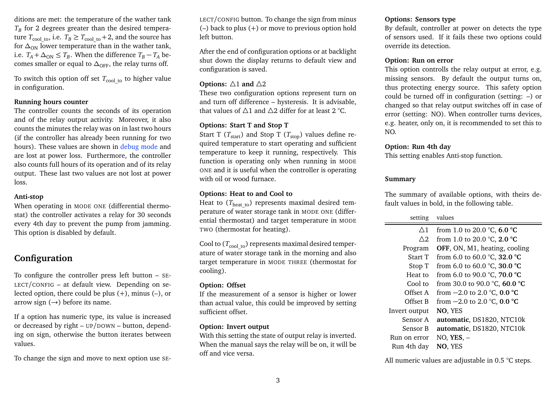ditions are met: the temperature of the wather tank  $T_B$  for 2 degrees greater than the desired temperature  $T_{\text{cool to}}$ , i.e.  $T_B \geq T_{\text{cool to}} + 2$ , and the source has for  $\Delta_{ON}$  lower temperature than in the wather tank, i.e.  $T_A + \Delta_{\text{ON}} \leq T_B$ . When the difference  $T_B - T_A$  becomes smaller or equal to  $\Delta_{\text{OFF}}$ , the relay turns off.

To switch this option off set  $T_{\text{cool to}}$  to higher value in configuration.

### **Running hours counter**

The controller counts the seconds of its operation and of the relay output activity. Moreover, it also counts the minutes the relay was on in last two hours (if the controller has already been running for two hours). These values are shown in [debug mode](#page-3-1) and are lost at power loss. Furthermore, the controller also counts full hours of its operation and of its relay output. These last two values are not lost at power loss.

#### **Anti-stop**

When operating in MODE ONE (differential thermostat) the controller activates a relay for 30 seconds every 4th day to prevent the pump from jamming. This option is disabled by default.

## <span id="page-2-0"></span>**Configuration**

To configure the controller press left button – SE-LECT/CONFIG – at default view. Depending on selected option, there could be plus  $(+)$ , minus  $(-)$ , or arrow sign  $(\rightarrow)$  before its name.

If a option has numeric type, its value is increased or decreased by right – UP/DOWN – button, depending on sign, otherwise the button iterates between values.

To change the sign and move to next option use SE-

LECT/CONFIG button. To change the sign from minus (–) back to plus (+) or move to previous option hold left button.

After the end of configuration options or at backlight shut down the display returns to default view and configuration is saved.

### **Options:**  $\triangle$ 1 **and**  $\triangle$ 2

These two configuration options represent turn on and turn off difference – hysteresis. It is advisable, that values of  $\triangle 1$  and  $\triangle 2$  differ for at least 2 °C.

### **Options: Start T and Stop T**

Start T ( $T_{\text{start}}$ ) and Stop T ( $T_{\text{stop}}$ ) values define required temperature to start operating and sufficient temperature to keep it running, respectively. This function is operating only when running in MODE ONE and it is useful when the controller is operating with oil or wood furnace.

### **Options: Heat to and Cool to**

Heat to  $(T_{\text{heat to}})$  represents maximal desired temperature of water storage tank in MODE ONE (differential thermostat) and target temperature in MODE TWO (thermostat for heating).

Cool to  $(T_{\text{cool to}})$  represents maximal desired temperature of water storage tank in the morning and also target temperature in MODE THREE (thermostat for cooling).

### **Option: Offset**

If the measurement of a sensor is higher or lower than actual value, this could be improved by setting sufficient offset.

### **Option: Invert output**

With this setting the state of output relay is inverted. When the manual says the relay will be on, it will be off and vice versa.

### **Options: Sensors type**

By default, controller at power on detects the type of sensors used. If it fails these two options could override its detection.

### **Option: Run on error**

This option controlls the relay output at error, e.g. missing sensors. By default the output turns on, thus protecting energy source. This safety option could be turned off in configuration (setting: –) or changed so that relay output switches off in case of error (setting: NO). When controller turns devices, e.g. heater, only on, it is recommended to set this to NO.

### **Option: Run 4th day**

This setting enables Anti-stop function.

### **Summary**

The summary of available options, with theirs default values in bold, in the following table.

| setting | values |
|---------|--------|
|---------|--------|

| $\triangle$ 1 | from 1.0 to 20.0 °C, 6.0 °C                      |
|---------------|--------------------------------------------------|
| $\wedge$ 2    | from 1.0 to 20.0 $\degree$ C, 2.0 $\degree$ C    |
| Program       | OFF, ON, M1, heating, cooling                    |
| Start T       | from 6.0 to 60.0 $\degree$ C, 32.0 $\degree$ C   |
| Stop T        | from 6.0 to 60.0 $^{\circ}$ C, 30.0 $^{\circ}$ C |
| Heat to       | from 6.0 to 90.0 °C, 70.0 °C                     |
| Cool to       | from 30.0 to 90.0 °C, 60.0 °C                    |
| Offset A      | from $-2.0$ to 2.0 °C, 0.0 °C                    |
| Offset B      | from $-2.0$ to 2.0 °C, 0.0 °C                    |
| Invert output | NO, YES                                          |
| Sensor A      | automatic, DS1820, NTC10k                        |
| Sensor B      | automatic, DS1820, NTC10k                        |
| Run on error  | NO, YES, –                                       |
| Run 4th day   | NO, YES                                          |
|               |                                                  |

All numeric values are adjustable in 0.5 °C steps.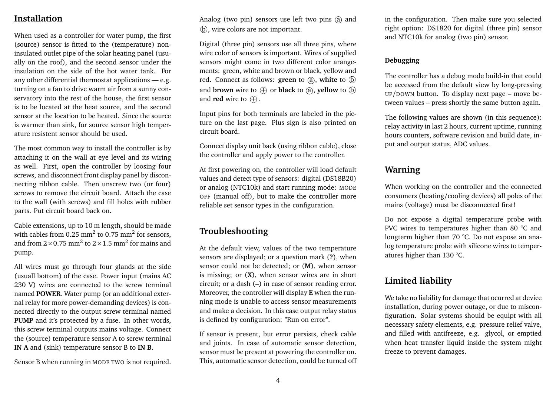## <span id="page-3-0"></span>**Installation**

When used as a controller for water pump, the first (source) sensor is fitted to the (temperature) noninsulated outlet pipe of the solar heating panel (usually on the roof), and the second sensor under the insulation on the side of the hot water tank. For any other differential thermostat applications — e.g. turning on a fan to drive warm air from a sunny conservatory into the rest of the house, the first sensor is to be located at the heat source, and the second sensor at the location to be heated. Since the source is warmer than sink, for source sensor high temperature resistent sensor should be used.

The most common way to install the controller is by attaching it on the wall at eye level and its wiring as well. First, open the controller by loosing four screws, and disconnect front display panel by disconnecting ribbon cable. Then unscrew two (or four) screws to remove the circuit board. Attach the case to the wall (with screws) and fill holes with rubber parts. Put circuit board back on.

Cable extensions, up to 10 m length, should be made with cables from 0.25  $\text{mm}^2$  to 0.75  $\text{mm}^2$  for sensors, and from  $2\times$  0.75 mm $^2$  to  $2\times1.5$  mm $^2$  for mains and pump.

All wires must go through four glands at the side (usuall bottom) of the case. Power input (mains AC 230 V) wires are connected to the screw terminal named **POWER**. Water pump (or an additional external relay for more power-demanding devices) is connected directly to the output screw terminal named **PUMP** and it's protected by a fuse. In other words, this screw terminal outputs mains voltage. Connect the (source) temperature sensor A to screw terminal **IN A** and (sink) temperature sensor B to **IN B**.

Sensor B when running in MODE TWO is not required.

Analog (two pin) sensors use left two pins  $\alpha$  and (b), wire colors are not important.

Digital (three pin) sensors use all three pins, where wire color of sensors is important. Wires of supplied sensors might come in two different color arangements: green, white and brown or black, yellow and red. Connect as follows: **green** to  $\overline{a}$ , white to  $\overline{b}$ and **brown** wire to  $\left(\oplus\right)$  or **black** to  $\left(\widehat{a}\right)$ , **vellow** to  $\left(\widehat{b}\right)$ and **red** wire to  $\oplus$ .

Input pins for both terminals are labeled in the picture on the last page. Plus sign is also printed on circuit board.

Connect display unit back (using ribbon cable), close the controller and apply power to the controller.

At first powering on, the controller will load default values and detect type of sensors: digital (DS18B20) or analog (NTC10k) and start running mode: MODE OFF (manual off), but to make the controller more reliable set sensor types in the configuration.

## **Troubleshooting**

At the default view, values of the two temperature sensors are displayed; or a question mark (**?**), when sensor could not be detected; or (**M**), when sensor is missing; or (**X**), when sensor wires are in short circuit; or a dash (**–**) in case of sensor reading error. Moreover, the controller will display **E** when the running mode is unable to access sensor measurements and make a decision. In this case output relay status is defined by configuration: "Run on error".

If sensor is present, but error persists, check cable and joints. In case of automatic sensor detection, sensor must be present at powering the controller on. This, automatic sensor detection, could be turned off in the configuration. Then make sure you selected right option: DS1820 for digital (three pin) sensor and NTC10k for analog (two pin) sensor.

### <span id="page-3-1"></span>**Debugging**

The controller has a debug mode build-in that could be accessed from the default view by long-pressing UP/DOWN button. To display next page – move between values – press shortly the same button again.

The following values are shown (in this sequence): relay activity in last 2 hours, current uptime, running hours counters, software revision and build date, input and output status, ADC values.

## **Warning**

When working on the controller and the connected consumers (heating/cooling devices) all poles of the mains (voltage) must be disconnected first!

Do not expose a digital temperature probe with PVC wires to temperatures higher than 80 °C and longterm higher than 70 °C. Do not expose an analog temperature probe with silicone wires to temperatures higher than 130 °C.

## **Limited liability**

We take no liability for damage that ocurred at device installation, during power outage, or due to misconfiguration. Solar systems should be equipt with all necessary safety elements, e.g. pressure relief valve, and filled with antifreeze, e.g. glycol, or emptied when heat transfer liquid inside the system might freeze to prevent damages.